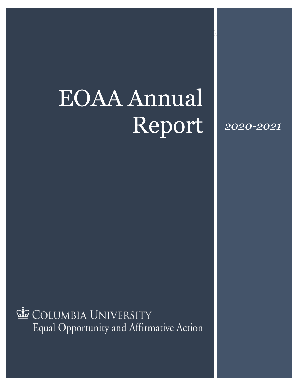# EOAA Annual Report

*2020-2021*

COLUMBIA UNIVERSITY Equal Opportunity and Affirmative Action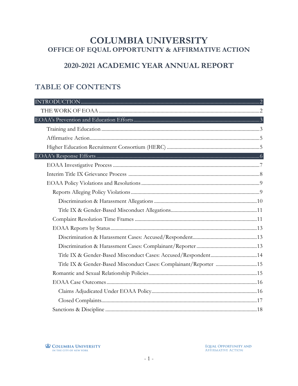## **COLUMBIA UNIVERSITY** OFFICE OF EQUAL OPPORTUNITY & AFFIRMATIVE ACTION

## 2020-2021 ACADEMIC YEAR ANNUAL REPORT

## **TABLE OF CONTENTS**

| Title IX & Gender-Based Misconduct Cases: Complainant/Reporter 15 |
|-------------------------------------------------------------------|
|                                                                   |
|                                                                   |
|                                                                   |
|                                                                   |
|                                                                   |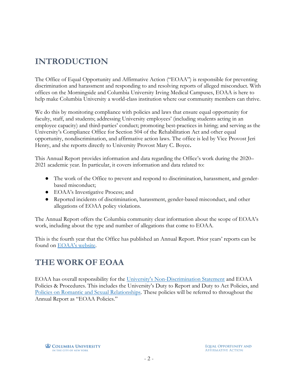# <span id="page-2-0"></span>**INTRODUCTION**

The Office of Equal Opportunity and Affirmative Action ("EOAA") is responsible for preventing discrimination and harassment and responding to and resolving reports of alleged misconduct. With offices on the Morningside and Columbia University Irving Medical Campuses, EOAA is here to help make Columbia University a world-class institution where our community members can thrive.

We do this by monitoring compliance with policies and laws that ensure equal opportunity for faculty, staff, and students; addressing University employees' (including students acting in an employee capacity) and third-parties' conduct; promoting best-practices in hiring; and serving as the University's Compliance Office for Section 504 of the Rehabilitation Act and other equal opportunity, nondiscrimination, and affirmative action laws. The office is led by Vice Provost Jeri Henry, and she reports directly to University Provost Mary C. Boyce**.** 

This Annual Report provides information and data regarding the Office's work during the 2020– 2021 academic year. In particular, it covers information and data related to:

- The work of the Office to prevent and respond to discrimination, harassment, and genderbased misconduct;
- EOAA's Investigative Process; and
- Reported incidents of discrimination, harassment, gender-based misconduct, and other allegations of EOAA policy violations.

The Annual Report offers the Columbia community clear information about the scope of EOAA's work, including about the type and number of allegations that come to EOAA.

This is the fourth year that the Office has published an Annual Report. Prior years' reports can be found on [EOAA's website.](https://eoaa.columbia.edu/content/annual-eoaa-reports)

# <span id="page-2-1"></span>**THE WORK OF EOAA**

EOAA has overall responsibility for the [University's Non-Discrimination Statement](https://eoaa.columbia.edu/content/non-discrimination-statement-and-policies) and EOAA Policies & Procedures. This includes the University's Duty to Report and Duty to Act Policies, and [Policies on Romantic and Sexual Relationships.](https://eoaa.columbia.edu/content/romantic-and-sexual-relationships) These policies will be referred to throughout the Annual Report as "EOAA Policies."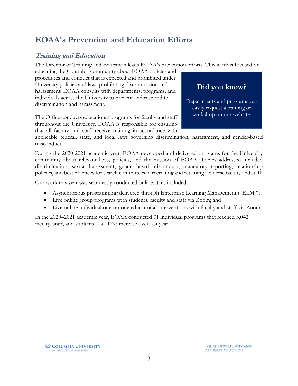# <span id="page-3-0"></span>**EOAA's Prevention and Education Efforts**

## <span id="page-3-1"></span>**Training and Education**

The Director of Training and Education leads EOAA's prevention efforts. This work is focused on

educating the Columbia community about EOAA policies and procedures and conduct that is expected and prohibited under University policies and laws prohibiting discrimination and harassment. EOAA consults with departments, programs, and individuals across the University to prevent and respond to discrimination and harassment.

The Office conducts educational programs for faculty and staff throughout the University. EOAA is responsible for ensuring that all faculty and staff receive training in accordance with



applicable federal, state, and local laws governing discrimination, harassment, and gender-based misconduct.

During the 2020-2021 academic year, EOAA developed and delivered programs for the University community about relevant laws, policies, and the mission of EOAA. Topics addressed included discrimination, sexual harassment, gender-based misconduct, mandatory reporting, relationship policies, and best practices for search committees in recruiting and retaining a diverse faculty and staff.

Our work this year was seamlessly conducted online. This included:

- Asynchronous programming delivered through Enterprise Learning Management ("ELM");
- Live online group programs with students, faculty and staff via Zoom; and
- Live online individual one-on-one educational interventions with faculty and staff via Zoom.

In the 2020–2021 academic year, EOAA conducted 71 individual programs that reached 3,042 faculty, staff, and students -- a 112% increase over last year.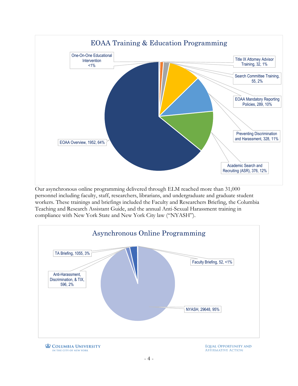

Our asynchronous online programming delivered through ELM reached more than 31,000 personnel including faculty, staff, researchers, librarians, and undergraduate and graduate student workers. These trainings and briefings included the Faculty and Researchers Briefing, the Columbia Teaching and Research Assistant Guide, and the annual Anti-Sexual Harassment training in compliance with New York State and New York City law ("NYASH").

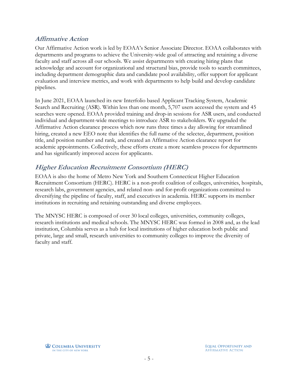#### <span id="page-5-0"></span>**Affirmative Action**

Our Affirmative Action work is led by EOAA's Senior Associate Director. EOAA collaborates with departments and programs to achieve the University-wide goal of attracting and retaining a diverse faculty and staff across all our schools. We assist departments with creating hiring plans that acknowledge and account for organizational and structural bias, provide tools to search committees, including department demographic data and candidate pool availability, offer support for applicant evaluation and interview metrics, and work with departments to help build and develop candidate pipelines.

In June 2021, EOAA launched its new Interfolio based Applicant Tracking System, Academic Search and Recruiting (ASR). Within less than one month, 5,707 users accessed the system and 45 searches were opened. EOAA provided training and drop-in sessions for ASR users, and conducted individual and department-wide meetings to introduce ASR to stakeholders. We upgraded the Affirmative Action clearance process which now runs three times a day allowing for streamlined hiring, created a new EEO note that identifies the full name of the selectee, department, position title, and position number and rank, and created an Affirmative Action clearance report for academic appointments. Collectively, these efforts create a more seamless process for departments and has significantly improved access for applicants.

## <span id="page-5-1"></span>**Higher Education Recruitment Consortium (HERC)**

EOAA is also the home of Metro New York and Southern Connecticut Higher Education Recruitment Consortium (HERC). HERC is a non-profit coalition of colleges, universities, hospitals, research labs, government agencies, and related non- and for-profit organizations committed to diversifying the pipeline of faculty, staff, and executives in academia. HERC supports its member institutions in recruiting and retaining outstanding and diverse employees.

The MNYSC HERC is composed of over 30 local colleges, universities, community colleges, research institutions and medical schools. The MNYSC HERC was formed in 2008 and, as the lead institution, Columbia serves as a hub for local institutions of higher education both public and private, large and small, research universities to community colleges to improve the diversity of faculty and staff.

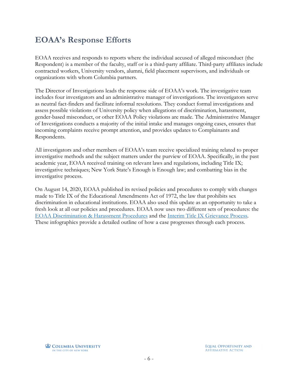# <span id="page-6-0"></span>**EOAA's Response Efforts**

EOAA receives and responds to reports where the individual accused of alleged misconduct (the Respondent) is a member of the faculty, staff or is a third-party affiliate. Third-party affiliates include contracted workers, University vendors, alumni, field placement supervisors, and individuals or organizations with whom Columbia partners.

The Director of Investigations leads the response side of EOAA's work. The investigative team includes four investigators and an administrative manager of investigations. The investigators serve as neutral fact-finders and facilitate informal resolutions. They conduct formal investigations and assess possible violations of University policy when allegations of discrimination, harassment, gender-based misconduct, or other EOAA Policy violations are made. The Administrative Manager of Investigations conducts a majority of the initial intake and manages ongoing cases, ensures that incoming complaints receive prompt attention, and provides updates to Complainants and Respondents.

All investigators and other members of EOAA's team receive specialized training related to proper investigative methods and the subject matters under the purview of EOAA. Specifically, in the past academic year, EOAA received training on relevant laws and regulations, including Title IX; investigative techniques; New York State's Enough is Enough law; and combatting bias in the investigative process.

On August 14, 2020, EOAA published its revised policies and procedures to comply with changes made to Title IX of the Educational Amendments Act of 1972, the law that prohibits sex discrimination in educational institutions. EOAA also used this update as an opportunity to take a fresh look at all our policies and procedures. EOAA now uses two different sets of procedures: the [EOAA Discrimination & Harassment Procedures](https://eoaa.columbia.edu/sites/default/files/content/docs/EOAA_Investigative_Process.pdf) and the [Interim Title IX Grievance Process.](https://eoaa.columbia.edu/sites/default/files/content/docs/Interim_Title_IX_Grievance_Process.pdf) These infographics provide a detailed outline of how a case progresses through each process.

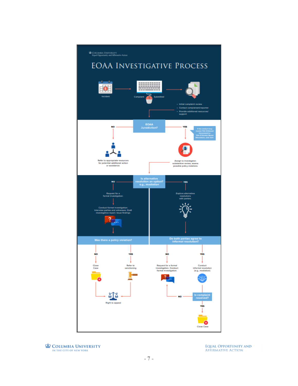<span id="page-7-0"></span>

**L** COLUMBIA UNIVERSITY IN THE CITY OF NEW YORK

**EQUAL OPPORTUNITY AND AFFIRMATIVE ACTION**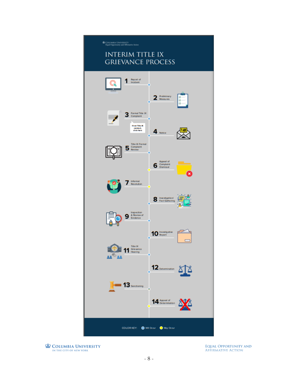

<span id="page-8-0"></span>**Interim Title IX Grievance Process**IN THE CITY OF NEW YORK

**EQUAL OPPORTUNITY AND AFFIRMATIVE ACTION**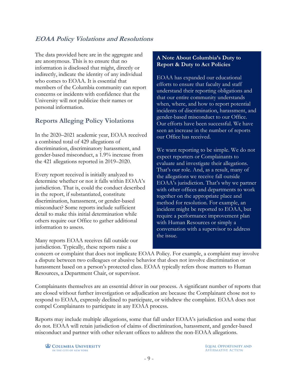## <span id="page-9-0"></span>**EOAA Policy Violations and Resolutions**

The data provided here are in the aggregate and are anonymous. This is to ensure that no information is disclosed that might, directly or indirectly, indicate the identity of any individual who comes to EOAA. It is essential that members of the Columbia community can report concerns or incidents with confidence that the University will not publicize their names or personal information.

## <span id="page-9-1"></span>**Reports Alleging Policy Violations**

In the 2020–2021 academic year, EOAA received a combined total of 429 allegations of discrimination, discriminatory harassment, and gender-based misconduct, a 1.9% increase from the 421 allegations reported in 2019–2020.

Every report received is initially analyzed to determine whether or not it falls within EOAA's jurisdiction. That is, could the conduct described in the report, if substantiated, constitute discrimination, harassment, or gender-based misconduct? Some reports include sufficient detail to make this initial determination while others require our Office to gather additional information to assess.

Many reports EOAA receives fall outside our jurisdiction. Typically, these reports raise a

#### **A Note About Columbia's Duty to Report & Duty to Act Policies**

EOAA has expanded our educational efforts to ensure that faculty and staff understand their reporting obligations and that our entire community understands when, where, and how to report potential incidents of discrimination, harassment, and gender-based misconduct to our Office. Our efforts have been successful. We have seen an increase in the number of reports our Office has received.

We want reporting to be simple. We do not expect reporters or Complainants to evaluate and investigate their allegations. That's our role. And, as a result, many of the allegations we receive fall outside EOAA's jurisdiction. That's why we partner with other offices and departments to work together on the appropriate place and method for resolution. For example, an incident might be reported to EOAA, but require a performance improvement plan with Human Resources or simply a conversation with a supervisor to address the issue.

concern or complaint that does not implicate EOAA Policy. For example, a complaint may involve a dispute between two colleagues or abusive behavior that does not involve discrimination or harassment based on a person's protected class. EOAA typically refers those matters to Human Resources, a Department Chair, or supervisor.

Complainants themselves are an essential driver in our process. A significant number of reports that are closed without further investigation or adjudication are because the Complainant chose not to respond to EOAA, expressly declined to participate, or withdrew the complaint. EOAA does not compel Complainants to participate in any EOAA process.

Reports may include multiple allegations, some that fall under EOAA's jurisdiction and some that do not. EOAA will retain jurisdiction of claims of discrimination, harassment, and gender-based misconduct and partner with other relevant offices to address the non-EOAA allegations.

**COLUMBIA UNIVERSITY** IN THE CITY OF NEW YORK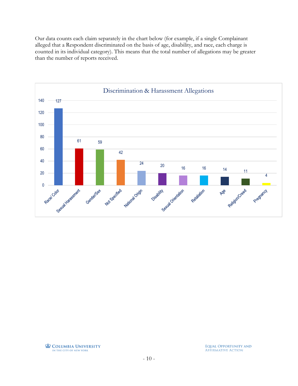Our data counts each claim separately in the chart below (for example, if a single Complainant alleged that a Respondent discriminated on the basis of age, disability, and race, each charge is counted in its individual category). This means that the total number of allegations may be greater than the number of reports received.

<span id="page-10-0"></span>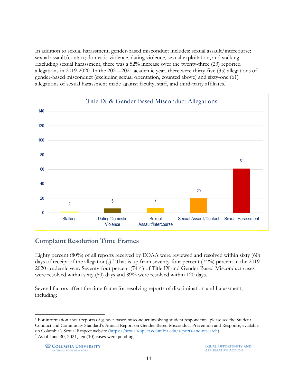<span id="page-11-0"></span>In addition to sexual harassment, gender-based misconduct includes: sexual assault/intercourse; sexual assault/contact; domestic violence, dating violence, sexual exploitation, and stalking. Excluding sexual harassment, there was a 52% increase over the twenty-three (23) reported allegations in 2019-2020. In the 2020–2021 academic year, there were thirty-five (35) allegations of gender-based misconduct (excluding sexual orientation, counted above) and sixty-one (61) allegations of sexual harassment made against faculty, staff, and third-party affiliates.<sup>1</sup>



## <span id="page-11-1"></span>**Complaint Resolution Time Frames**

Eighty percent (80%) of all reports received by EOAA were reviewed and resolved within sixty (60) days of receipt of the allegation(s). <sup>2</sup> That is up from seventy-four percent (74%) percent in the 2019- 2020 academic year. Seventy-four percent (74%) of Title IX and Gender-Based Misconduct cases were resolved within sixty (60) days and 89% were resolved within 120 days.

Several factors affect the time frame for resolving reports of discrimination and harassment, including:

 $\overline{a}$ 

<sup>1</sup> For information about reports of gender-based misconduct involving student respondents, please see the Student Conduct and Community Standard's Annual Report on Gender-Based Misconduct Prevention and Response, available on Columbia's Sexual Respect website ([https://sexualrespect.columbia.edu/reports-and-research\)](https://sexualrespect.columbia.edu/reports-and-research).  $2$  As of June 30, 2021, ten (10) cases were pending.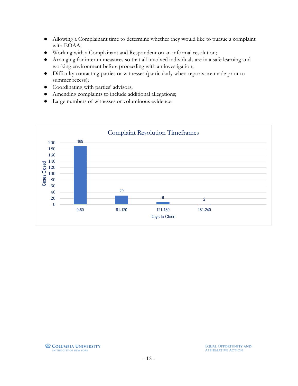- Allowing a Complainant time to determine whether they would like to pursue a complaint with EOAA;
- Working with a Complainant and Respondent on an informal resolution;
- Arranging for interim measures so that all involved individuals are in a safe learning and working environment before proceeding with an investigation;
- Difficulty contacting parties or witnesses (particularly when reports are made prior to summer recess);
- Coordinating with parties' advisors;
- Amending complaints to include additional allegations;
- Large numbers of witnesses or voluminous evidence.

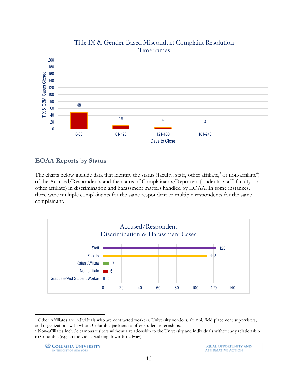

#### <span id="page-13-0"></span>**EOAA Reports by Status**

The charts below include data that identify the status (faculty, staff, other affiliate, $3$  or non-affiliate $4$ ) of the Accused/Respondents and the status of Complainants/Reporters (students, staff, faculty, or other affiliate) in discrimination and harassment matters handled by EOAA. In some instances, there were multiple complainants for the same respondent or multiple respondents for the same complainant.

<span id="page-13-1"></span>

<span id="page-13-2"></span> $\overline{a}$ <sup>3</sup> Other Affiliates are individuals who are contracted workers, University vendors, alumni, field placement supervisors, and organizations with whom Columbia partners to offer student internships.

<sup>4</sup> Non-affiliates include campus visitors without a relationship to the University and individuals without any relationship to Columbia (e.g. an individual walking down Broadway).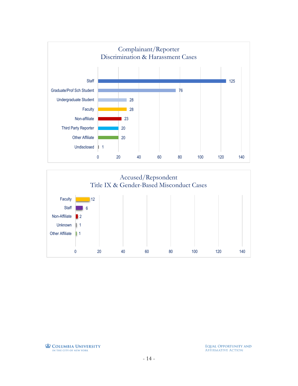

<span id="page-14-0"></span>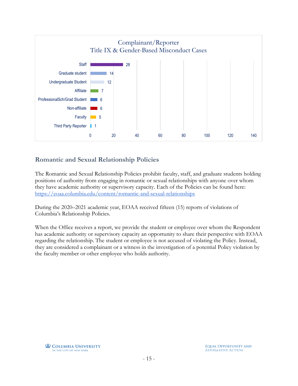

#### <span id="page-15-1"></span><span id="page-15-0"></span>**Romantic and Sexual Relationship Policies**

The Romantic and Sexual Relationship Policies prohibit faculty, staff, and graduate students holding positions of authority from engaging in romantic or sexual relationships with anyone over whom they have academic authority or supervisory capacity. Each of the Policies can be found here: [https://eoaa.columbia.edu/content/romantic-and-sexual-relationships](https://eoaa.columbia.edu/content/consensual-romantic-and-sexual-relationships)

During the 2020–2021 academic year, EOAA received fifteen (15) reports of violations of Columbia's Relationship Policies.

When the Office receives a report, we provide the student or employee over whom the Respondent has academic authority or supervisory capacity an opportunity to share their perspective with EOAA regarding the relationship. The student or employee is not accused of violating the Policy. Instead, they are considered a complainant or a witness in the investigation of a potential Policy violation by the faculty member or other employee who holds authority.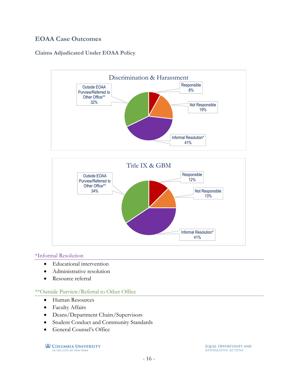#### <span id="page-16-0"></span>**EOAA Case Outcomes**

#### <span id="page-16-1"></span>**Claims Adjudicated Under EOAA Policy**





#### \*Informal Resolution

- Educational intervention
- Administrative resolution
- Resource referral

#### \*\*Outside Purview/Referral to Other Office

- Human Resources
- Faculty Affairs
- Deans/Department Chairs/Supervisors
- Student Conduct and Community Standards
- General Counsel's Office

**L** COLUMBIA UNIVERSITY IN THE CITY OF NEW YORK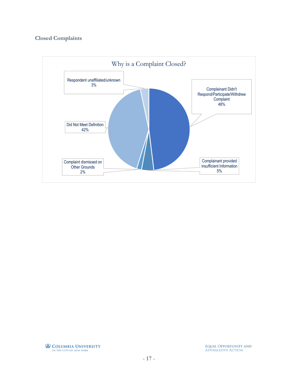#### <span id="page-17-0"></span>**Closed Complaints**